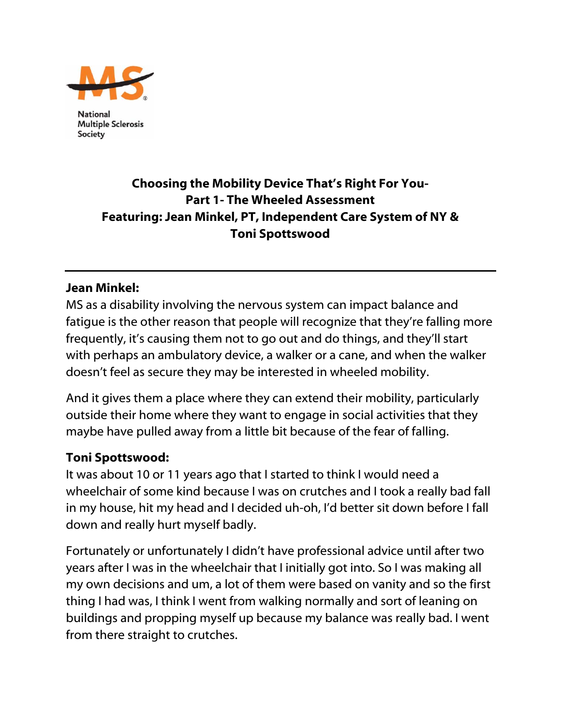

**National Multiple Sclerosis** Society

# Choosing the Mobility Device That's Right For You-Part 1- The Wheeled Assessment Featuring: Jean Minkel, PT, Independent Care System of NY & Toni Spottswood

#### Jean Minkel:

MS as a disability involving the nervous system can impact balance and fatigue is the other reason that people will recognize that they're falling more frequently, it's causing them not to go out and do things, and they'll start with perhaps an ambulatory device, a walker or a cane, and when the walker doesn't feel as secure they may be interested in wheeled mobility.

And it gives them a place where they can extend their mobility, particularly outside their home where they want to engage in social activities that they maybe have pulled away from a little bit because of the fear of falling.

#### Toni Spottswood:

It was about 10 or 11 years ago that I started to think I would need a wheelchair of some kind because I was on crutches and I took a really bad fall in my house, hit my head and I decided uh-oh, I'd better sit down before I fall down and really hurt myself badly.

Fortunately or unfortunately I didn't have professional advice until after two years after I was in the wheelchair that I initially got into. So I was making all my own decisions and um, a lot of them were based on vanity and so the first thing I had was, I think I went from walking normally and sort of leaning on buildings and propping myself up because my balance was really bad. I went from there straight to crutches.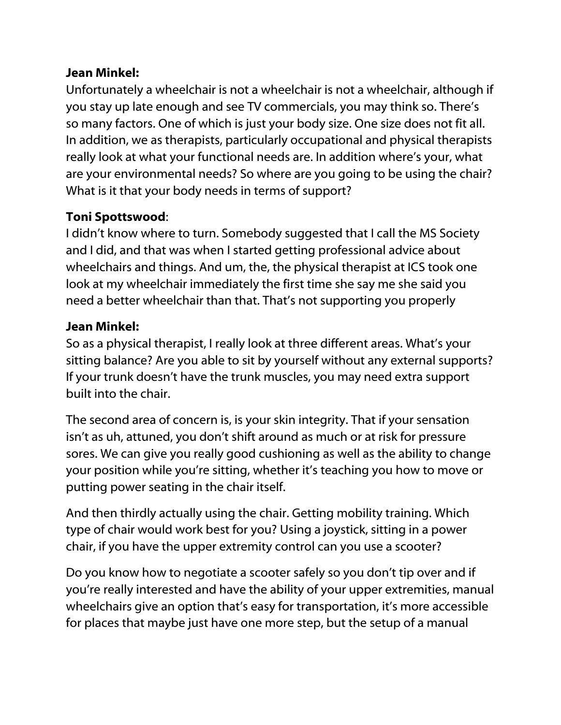### Jean Minkel:

Unfortunately a wheelchair is not a wheelchair is not a wheelchair, although if you stay up late enough and see TV commercials, you may think so. There's so many factors. One of which is just your body size. One size does not fit all. In addition, we as therapists, particularly occupational and physical therapists really look at what your functional needs are. In addition where's your, what are your environmental needs? So where are you going to be using the chair? What is it that your body needs in terms of support?

# Toni Spottswood:

I didn't know where to turn. Somebody suggested that I call the MS Society and I did, and that was when I started getting professional advice about wheelchairs and things. And um, the, the physical therapist at ICS took one look at my wheelchair immediately the first time she say me she said you need a better wheelchair than that. That's not supporting you properly

## Jean Minkel:

So as a physical therapist, I really look at three different areas. What's your sitting balance? Are you able to sit by yourself without any external supports? If your trunk doesn't have the trunk muscles, you may need extra support built into the chair.

The second area of concern is, is your skin integrity. That if your sensation isn't as uh, attuned, you don't shift around as much or at risk for pressure sores. We can give you really good cushioning as well as the ability to change your position while you're sitting, whether it's teaching you how to move or putting power seating in the chair itself.

And then thirdly actually using the chair. Getting mobility training. Which type of chair would work best for you? Using a joystick, sitting in a power chair, if you have the upper extremity control can you use a scooter?

Do you know how to negotiate a scooter safely so you don't tip over and if you're really interested and have the ability of your upper extremities, manual wheelchairs give an option that's easy for transportation, it's more accessible for places that maybe just have one more step, but the setup of a manual